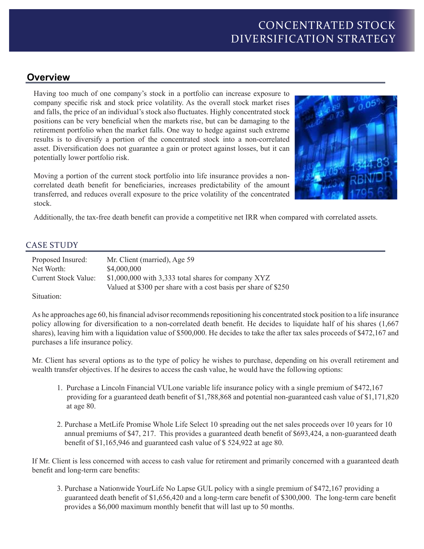## **Overview**

Having too much of one company's stock in a portfolio can increase exposure to company specific risk and stock price volatility. As the overall stock market rises and falls, the price of an individual's stock also fluctuates. Highly concentrated stock positions can be very beneficial when the markets rise, but can be damaging to the retirement portfolio when the market falls. One way to hedge against such extreme results is to diversify a portion of the concentrated stock into a non-correlated asset. Diversification does not guarantee a gain or protect against losses, but it can potentially lower portfolio risk.

Moving a portion of the current stock portfolio into life insurance provides a noncorrelated death benefit for beneficiaries, increases predictability of the amount transferred, and reduces overall exposure to the price volatility of the concentrated stock.



Additionally, the tax-free death benefit can provide a competitive net IRR when compared with correlated assets.

## CASE STUDY

| Proposed Insured:           | Mr. Client (married), Age 59                                                                                           |
|-----------------------------|------------------------------------------------------------------------------------------------------------------------|
| Net Worth:                  | \$4,000,000                                                                                                            |
| <b>Current Stock Value:</b> | $$1,000,000$ with 3,333 total shares for company XYZ<br>Valued at \$300 per share with a cost basis per share of \$250 |

Situation:

As he approaches age 60, his financial advisor recommends repositioning his concentrated stock position to a life insurance policy allowing for diversification to a non-correlated death benefit. He decides to liquidate half of his shares (1,667 shares), leaving him with a liquidation value of \$500,000. He decides to take the after tax sales proceeds of \$472,167 and purchases a life insurance policy.

Mr. Client has several options as to the type of policy he wishes to purchase, depending on his overall retirement and wealth transfer objectives. If he desires to access the cash value, he would have the following options:

- 1. Purchase a Lincoln Financial VULone variable life insurance policy with a single premium of \$472,167 providing for a guaranteed death benefit of \$1,788,868 and potential non-guaranteed cash value of \$1,171,820 at age 80.
- 2. Purchase a MetLife Promise Whole Life Select 10 spreading out the net sales proceeds over 10 years for 10 annual premiums of \$47, 217. This provides a guaranteed death benefit of \$693,424, a non-guaranteed death benefit of \$1,165,946 and guaranteed cash value of \$ 524,922 at age 80.

If Mr. Client is less concerned with access to cash value for retirement and primarily concerned with a guaranteed death benefit and long-term care benefits:

3. Purchase a Nationwide YourLife No Lapse GUL policy with a single premium of \$472,167 providing a guaranteed death benefit of \$1,656,420 and a long-term care benefit of \$300,000. The long-term care benefit provides a \$6,000 maximum monthly benefit that will last up to 50 months.